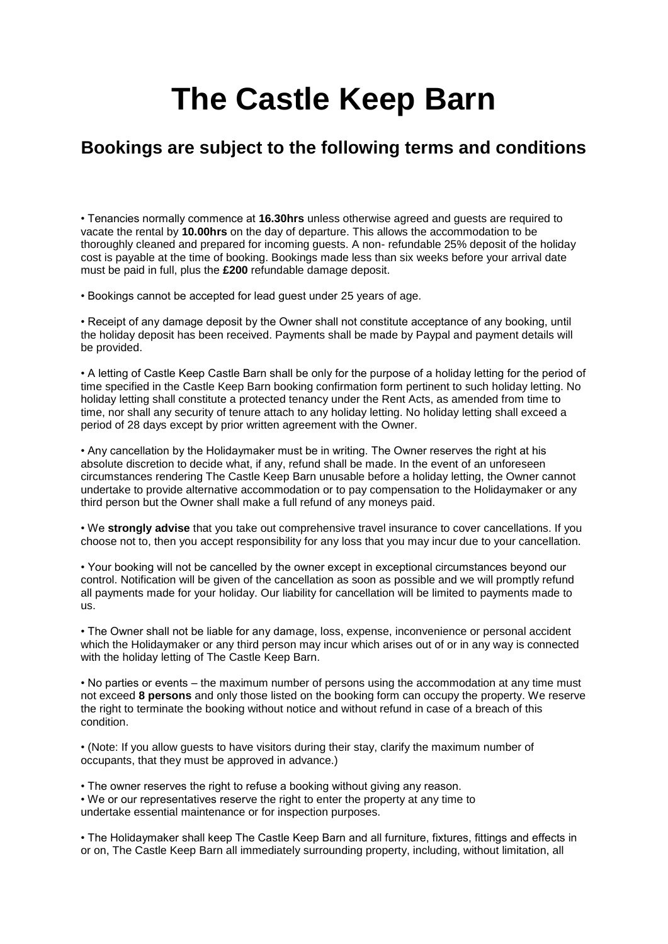# **The Castle Keep Barn**

# **Bookings are subject to the following terms and conditions**

• Tenancies normally commence at **16.30hrs** unless otherwise agreed and guests are required to vacate the rental by **10.00hrs** on the day of departure. This allows the accommodation to be thoroughly cleaned and prepared for incoming guests. A non- refundable 25% deposit of the holiday cost is payable at the time of booking. Bookings made less than six weeks before your arrival date must be paid in full, plus the **£200** refundable damage deposit.

• Bookings cannot be accepted for lead guest under 25 years of age.

• Receipt of any damage deposit by the Owner shall not constitute acceptance of any booking, until the holiday deposit has been received. Payments shall be made by Paypal and payment details will be provided.

• A letting of Castle Keep Castle Barn shall be only for the purpose of a holiday letting for the period of time specified in the Castle Keep Barn booking confirmation form pertinent to such holiday letting. No holiday letting shall constitute a protected tenancy under the Rent Acts, as amended from time to time, nor shall any security of tenure attach to any holiday letting. No holiday letting shall exceed a period of 28 days except by prior written agreement with the Owner.

• Any cancellation by the Holidaymaker must be in writing. The Owner reserves the right at his absolute discretion to decide what, if any, refund shall be made. In the event of an unforeseen circumstances rendering The Castle Keep Barn unusable before a holiday letting, the Owner cannot undertake to provide alternative accommodation or to pay compensation to the Holidaymaker or any third person but the Owner shall make a full refund of any moneys paid.

• We **strongly advise** that you take out comprehensive travel insurance to cover cancellations. If you choose not to, then you accept responsibility for any loss that you may incur due to your cancellation.

• Your booking will not be cancelled by the owner except in exceptional circumstances beyond our control. Notification will be given of the cancellation as soon as possible and we will promptly refund all payments made for your holiday. Our liability for cancellation will be limited to payments made to us.

• The Owner shall not be liable for any damage, loss, expense, inconvenience or personal accident which the Holidaymaker or any third person may incur which arises out of or in any way is connected with the holiday letting of The Castle Keep Barn.

• No parties or events – the maximum number of persons using the accommodation at any time must not exceed **8 persons** and only those listed on the booking form can occupy the property. We reserve the right to terminate the booking without notice and without refund in case of a breach of this condition.

• (Note: If you allow guests to have visitors during their stay, clarify the maximum number of occupants, that they must be approved in advance.)

• The owner reserves the right to refuse a booking without giving any reason. • We or our representatives reserve the right to enter the property at any time to undertake essential maintenance or for inspection purposes.

• The Holidaymaker shall keep The Castle Keep Barn and all furniture, fixtures, fittings and effects in or on, The Castle Keep Barn all immediately surrounding property, including, without limitation, all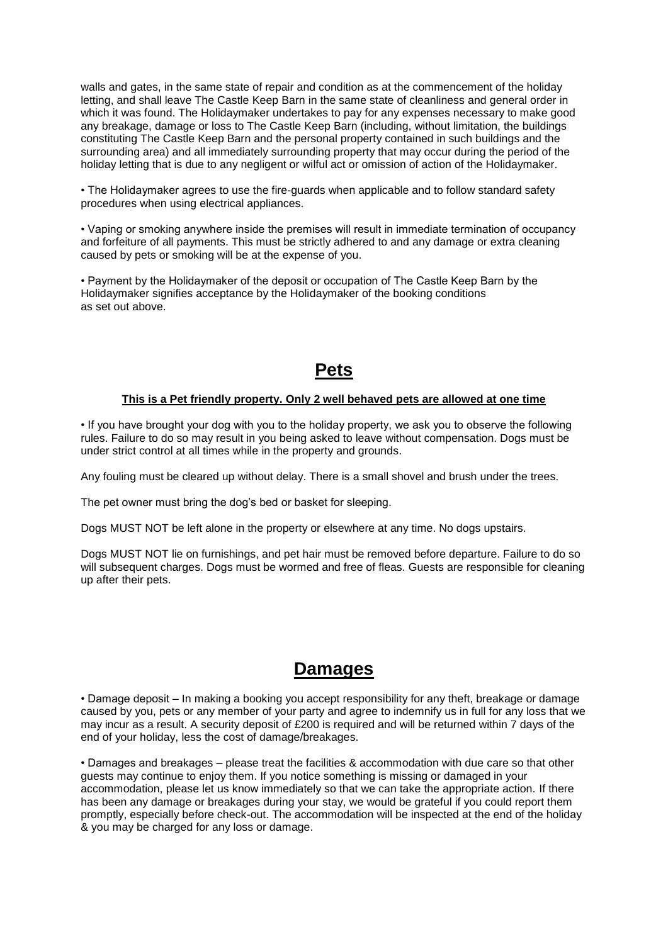walls and gates, in the same state of repair and condition as at the commencement of the holiday letting, and shall leave The Castle Keep Barn in the same state of cleanliness and general order in which it was found. The Holidaymaker undertakes to pay for any expenses necessary to make good any breakage, damage or loss to The Castle Keep Barn (including, without limitation, the buildings constituting The Castle Keep Barn and the personal property contained in such buildings and the surrounding area) and all immediately surrounding property that may occur during the period of the holiday letting that is due to any negligent or wilful act or omission of action of the Holidaymaker.

• The Holidaymaker agrees to use the fire-guards when applicable and to follow standard safety procedures when using electrical appliances.

• Vaping or smoking anywhere inside the premises will result in immediate termination of occupancy and forfeiture of all payments. This must be strictly adhered to and any damage or extra cleaning caused by pets or smoking will be at the expense of you.

• Payment by the Holidaymaker of the deposit or occupation of The Castle Keep Barn by the Holidaymaker signifies acceptance by the Holidaymaker of the booking conditions as set out above.

## **Pets**

#### **This is a Pet friendly property. Only 2 well behaved pets are allowed at one time**

• If you have brought your dog with you to the holiday property, we ask you to observe the following rules. Failure to do so may result in you being asked to leave without compensation. Dogs must be under strict control at all times while in the property and grounds.

Any fouling must be cleared up without delay. There is a small shovel and brush under the trees.

The pet owner must bring the dog's bed or basket for sleeping.

Dogs MUST NOT be left alone in the property or elsewhere at any time. No dogs upstairs.

Dogs MUST NOT lie on furnishings, and pet hair must be removed before departure. Failure to do so will subsequent charges. Dogs must be wormed and free of fleas. Guests are responsible for cleaning up after their pets.

### **Damages**

• Damage deposit – In making a booking you accept responsibility for any theft, breakage or damage caused by you, pets or any member of your party and agree to indemnify us in full for any loss that we may incur as a result. A security deposit of £200 is required and will be returned within 7 days of the end of your holiday, less the cost of damage/breakages.

• Damages and breakages – please treat the facilities & accommodation with due care so that other guests may continue to enjoy them. If you notice something is missing or damaged in your accommodation, please let us know immediately so that we can take the appropriate action. If there has been any damage or breakages during your stay, we would be grateful if you could report them promptly, especially before check-out. The accommodation will be inspected at the end of the holiday & you may be charged for any loss or damage.